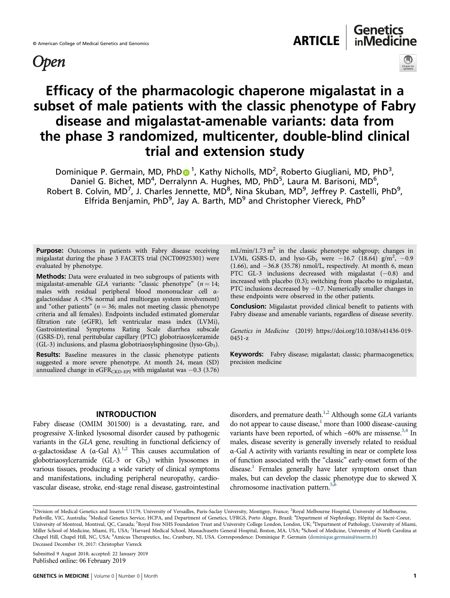# **Open**



# Efficacy of the pharmacologic chaperone migalastat in a subset of male patients with the classic phenotype of Fabry disease and migalastat-amenable variants: data from the phase 3 randomized, multicenter, double-blind clinical trial and extension study

[D](http://orcid.org/0000-0002-8355-007X)ominique P. Germain, MD, PhD<sup>® 1</sup>, Kathy Nicholls, MD<sup>2</sup>, Roberto Giugliani, MD, PhD<sup>3</sup>, Daniel G. Bichet, MD<sup>4</sup>, Derralynn A. Hughes, MD, PhD<sup>5</sup>, Laura M. Barisoni, MD<sup>6</sup>, Robert B. Colvin, MD<sup>7</sup>, J. Charles Jennette, MD<sup>8</sup>, Nina Skuban, MD<sup>9</sup>, Jeffrey P. Castelli, PhD<sup>9</sup>, Elfrida Benjamin, PhD<sup>9</sup>, Jay A. Barth, MD<sup>9</sup> and Christopher Viereck, PhD<sup>9</sup>

Purpose: Outcomes in patients with Fabry disease receiving migalastat during the phase 3 FACETS trial (NCT00925301) were evaluated by phenotype.

Methods: Data were evaluated in two subgroups of patients with migalastat-amenable GLA variants: "classic phenotype"  $(n = 14;$ males with residual peripheral blood mononuclear cell αgalactosidase A <3% normal and multiorgan system involvement) and "other patients" ( $n = 36$ ; males not meeting classic phenotype criteria and all females). Endpoints included estimated glomerular filtration rate (eGFR), left ventricular mass index (LVMi), Gastrointestinal Symptoms Rating Scale diarrhea subscale (GSRS-D), renal peritubular capillary (PTC) globotriaosylceramide  $(GL-3)$  inclusions, and plasma globotriaosylsphingosine (lyso-Gb<sub>3</sub>).

Results: Baseline measures in the classic phenotype patients suggested a more severe phenotype. At month 24, mean (SD) annualized change in eGFR<sub>CKD-EPI</sub> with migalastat was  $-0.3$  (3.76)

 $mL/min/1.73 m<sup>2</sup>$  in the classic phenotype subgroup; changes in LVMi, GSRS-D, and lyso-Gb<sub>3</sub> were  $-16.7$  (18.64) g/m<sup>2</sup>, -0.9 (1.66), and  $-36.8$  (35.78) nmol/L, respectively. At month 6, mean PTC GL-3 inclusions decreased with migalastat (−0.8) and increased with placebo (0.3); switching from placebo to migalastat, PTC inclusions decreased by −0.7. Numerically smaller changes in these endpoints were observed in the other patients.

Conclusion: Migalastat provided clinical benefit to patients with Fabry disease and amenable variants, regardless of disease severity.

Genetics in Medicine (2019) https://doi.org/10.1038/s41436-019- 0451-z

Keywords: Fabry disease; migalastat; classic; pharmacogenetics; precision medicine

# INTRODUCTION

Fabry disease (OMIM 301500) is a devastating, rare, and progressive X-linked lysosomal disorder caused by pathogenic variants in the GLA gene, resulting in functional deficiency of α-galactosidase A  $(α-Gal A)^{1,2}$  $(α-Gal A)^{1,2}$  $(α-Gal A)^{1,2}$  $(α-Gal A)^{1,2}$  $(α-Gal A)^{1,2}$ . This causes accumulation of globotriaosylceramide (GL-3 or  $Gb_3$ ) within lysosomes in various tissues, producing a wide variety of clinical symptoms and manifestations, including peripheral neuropathy, cardiovascular disease, stroke, end-stage renal disease, gastrointestinal

disorders, and premature death.<sup>[1](#page-9-0),[2](#page-9-0)</sup> Although some GLA variants do not appear to cause disease, $\frac{1}{1}$  more than 1000 disease-causing variants have been reported, of which  $\sim 60\%$  are missense.<sup>[3](#page-9-0),[4](#page-9-0)</sup> In males, disease severity is generally inversely related to residual α-Gal A activity with variants resulting in near or complete loss of function associated with the "classic" early-onset form of the disease.<sup>1</sup> Females generally have later symptom onset than males, but can develop the classic phenotype due to skewed X chromosome inactivation pattern.<sup>5[,6](#page-10-0)</sup>

Submitted 9 August 2018; accepted: 22 January 2019

<sup>&</sup>lt;sup>1</sup>Division of Medical Genetics and Inserm U1179, University of Versailles, Paris-Saclay University, Montigny, France; <sup>2</sup>Royal Melbourne Hospital, University of Melbourne, Parkville, VIC, Australia; <sup>3</sup>Medical Genetics Service, HCPA, and Department of Genetics, UFRGS, Porto Alegre, Brazil; <sup>4</sup>Department of Nephrology, Hôpital du Sacré-Coeur, University of Montreal, Montreal, QC, Canada; <sup>5</sup>Royal Free NHS Foundation Trust and University College London, London, UK; <sup>6</sup>Department of Pathology, University of Miami, Miller School of Medicine, Miami, FL, USA; <sup>7</sup>Harvard Medical School, Massachusetts General Hospital, Boston, MA, USA; <sup>8</sup>School of Medicine, University of North Carolina at Chapel Hill, Chapel Hill, NC, USA; <sup>9</sup>Amicus Therapeutics, Inc, Cranbury, NJ, USA. Correspondence: Dominique P. Germain [\(dominique.germain@inserm.fr\)](mailto:dominique.germain@inserm.fr) Deceased December 19, 2017: Christopher Viereck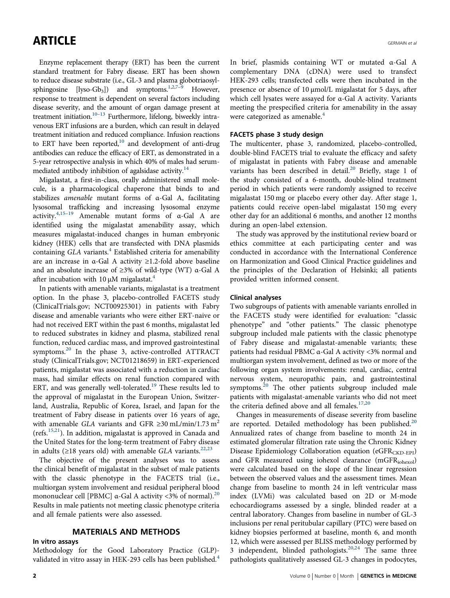Enzyme replacement therapy (ERT) has been the current standard treatment for Fabry disease. ERT has been shown to reduce disease substrate (i.e., GL-3 and plasma globotriaosyl-sphingosine [lyso-Gb<sub>3</sub>]) and symptoms.<sup>1,2[,7](#page-10-0)–[9](#page-10-0)</sup> However, response to treatment is dependent on several factors including disease severity, and the amount of organ damage present at treatment initiation.<sup>[10](#page-10-0)–[13](#page-10-0)</sup> Furthermore, lifelong, biweekly intravenous ERT infusions are a burden, which can result in delayed treatment initiation and reduced compliance. Infusion reactions to ERT have been reported,<sup>10</sup> and development of anti-drug antibodies can reduce the efficacy of ERT, as demonstrated in a 5-year retrospective analysis in which 40% of males had serummediated antibody inhibition of agalsidase activity.<sup>14</sup>

Migalastat, a first-in-class, orally administered small molecule, is a pharmacological chaperone that binds to and stabilizes amenable mutant forms of α-Gal A, facilitating lysosomal trafficking and increasing lysosomal enzyme activity. $4,15-19$  $4,15-19$  $4,15-19$  $4,15-19$  Amenable mutant forms of  $\alpha$ -Gal A are identified using the migalastat amenability assay, which measures migalastat-induced changes in human embryonic kidney (HEK) cells that are transfected with DNA plasmids containing GLA variants.<sup>4</sup> Established criteria for amenability are an increase in α-Gal A activity ≥1.2-fold above baseline and an absolute increase of ≥3% of wild-type (WT) α-Gal A after incubation with 10  $\mu$ M migalastat.<sup>[4](#page-9-0)</sup>

In patients with amenable variants, migalastat is a treatment option. In the phase 3, placebo-controlled FACETS study (ClinicalTrials.gov; NCT00925301) in patients with Fabry disease and amenable variants who were either ERT-naive or had not received ERT within the past 6 months, migalastat led to reduced substrates in kidney and plasma, stabilized renal function, reduced cardiac mass, and improved gastrointestinal symptoms.<sup>[20](#page-10-0)</sup> In the phase 3, active-controlled ATTRACT study (ClinicalTrials.gov; NCT01218659) in ERT-experienced patients, migalastat was associated with a reduction in cardiac mass, had similar effects on renal function compared with ERT, and was generally well-tolerated.<sup>[19](#page-10-0)</sup> These results led to the approval of migalastat in the European Union, Switzerland, Australia, Republic of Korea, Israel, and Japan for the treatment of Fabry disease in patients over 16 years of age, with amenable GLA variants and GFR ≥30 mL/min/1.73 m<sup>2</sup> (refs.[15,21\)](#page-10-0). In addition, migalastat is approved in Canada and the United States for the long-term treatment of Fabry disease in adults ( $\geq$ 18 years old) with amenable GLA variants.<sup>[22,23](#page-10-0)</sup>

The objective of the present analyses was to assess the clinical benefit of migalastat in the subset of male patients with the classic phenotype in the FACETS trial (i.e., multiorgan system involvement and residual peripheral blood mononuclear cell [PBMC]  $\alpha$ -Gal A activity <3% of normal).<sup>[20](#page-10-0)</sup> Results in male patients not meeting classic phenotype criteria and all female patients were also assessed.

# MATERIALS AND METHODS

#### In vitro assays

Methodology for the Good Laboratory Practice (GLP)- validated in vitro assay in HEK-293 cells has been published.<sup>[4](#page-9-0)</sup> In brief, plasmids containing WT or mutated α-Gal A complementary DNA (cDNA) were used to transfect HEK-293 cells; transfected cells were then incubated in the presence or absence of 10 µmol/L migalastat for 5 days, after which cell lysates were assayed for α-Gal A activity. Variants meeting the prespecified criteria for amenability in the assay were categorized as amenable.<sup>[4](#page-9-0)</sup>

### FACETS phase 3 study design

The multicenter, phase 3, randomized, placebo-controlled, double-blind FACETS trial to evaluate the efficacy and safety of migalastat in patients with Fabry disease and amenable variants has been described in detail.<sup>[20](#page-10-0)</sup> Briefly, stage 1 of the study consisted of a 6-month, double-blind treatment period in which patients were randomly assigned to receive migalastat 150 mg or placebo every other day. After stage 1, patients could receive open-label migalastat 150 mg every other day for an additional 6 months, and another 12 months during an open-label extension.

The study was approved by the institutional review board or ethics committee at each participating center and was conducted in accordance with the International Conference on Harmonization and Good Clinical Practice guidelines and the principles of the Declaration of Helsinki; all patients provided written informed consent.

### Clinical analyses

Two subgroups of patients with amenable variants enrolled in the FACETS study were identified for evaluation: "classic phenotype" and "other patients." The classic phenotype subgroup included male patients with the classic phenotype of Fabry disease and migalastat-amenable variants; these patients had residual PBMC α-Gal A activity <3% normal and multiorgan system involvement, defined as two or more of the following organ system involvements: renal, cardiac, central nervous system, neuropathic pain, and gastrointestinal symptoms.<sup>[20](#page-10-0)</sup> The other patients subgroup included male patients with migalastat-amenable variants who did not meet the criteria defined above and all females.<sup>[17,20](#page-10-0)</sup>

Changes in measurements of disease severity from baseline are reported. Detailed methodology has been published.<sup>[20](#page-10-0)</sup> Annualized rates of change from baseline to month 24 in estimated glomerular filtration rate using the Chronic Kidney Disease Epidemiology Collaboration equation (eGFR<sub>CKD-EPI</sub>) and GFR measured using iohexol clearance (mGFR<sub>iohexol</sub>) were calculated based on the slope of the linear regression between the observed values and the assessment times. Mean change from baseline to month 24 in left ventricular mass index (LVMi) was calculated based on 2D or M-mode echocardiograms assessed by a single, blinded reader at a central laboratory. Changes from baseline in number of GL-3 inclusions per renal peritubular capillary (PTC) were based on kidney biopsies performed at baseline, month 6, and month 12, which were assessed per BLISS methodology performed by 3 independent, blinded pathologists.<sup>[20,24](#page-10-0)</sup> The same three pathologists qualitatively assessed GL-3 changes in podocytes,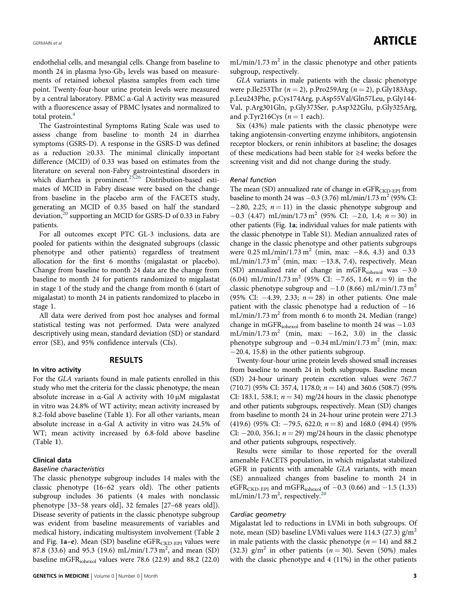endothelial cells, and mesangial cells. Change from baseline to month 24 in plasma lyso- $Gb_3$  levels was based on measurements of retained iohexol plasma samples from each time point. Twenty-four-hour urine protein levels were measured by a central laboratory. PBMC α-Gal A activity was measured with a fluorescence assay of PBMC lysates and normalized to total protein.<sup>[4](#page-9-0)</sup>

The Gastrointestinal Symptoms Rating Scale was used to assess change from baseline to month 24 in diarrhea symptoms (GSRS-D). A response in the GSRS-D was defined as a reduction ≥0.33. The minimal clinically important difference (MCID) of 0.33 was based on estimates from the literature on several non-Fabry gastrointestinal disorders in which diarrhea is prominent.<sup>25,26</sup> Distribution-based estimates of MCID in Fabry disease were based on the change from baseline in the placebo arm of the FACETS study, generating an MCID of 0.35 based on half the standard deviation, $20$  supporting an MCID for GSRS-D of 0.33 in Fabry patients.

For all outcomes except PTC GL-3 inclusions, data are pooled for patients within the designated subgroups (classic phenotype and other patients) regardless of treatment allocation for the first 6 months (migalastat or placebo). Change from baseline to month 24 data are the change from baseline to month 24 for patients randomized to migalastat in stage 1 of the study and the change from month 6 (start of migalastat) to month 24 in patients randomized to placebo in stage 1.

All data were derived from post hoc analyses and formal statistical testing was not performed. Data were analyzed descriptively using mean, standard deviation (SD) or standard error (SE), and 95% confidence intervals (CIs).

# RESULTS

### In vitro activity

For the GLA variants found in male patients enrolled in this study who met the criteria for the classic phenotype, the mean absolute increase in α-Gal A activity with 10 µM migalastat in vitro was 24.8% of WT activity; mean activity increased by 8.2-fold above baseline (Table [1](#page-3-0)). For all other variants, mean absolute increase in α-Gal A activity in vitro was 24.5% of WT; mean activity increased by 6.8-fold above baseline (Table [1](#page-3-0)).

#### Clinical data

#### Baseline characteristics

The classic phenotype subgroup includes 14 males with the classic phenotype (16–62 years old). The other patients subgroup includes 36 patients (4 males with nonclassic phenotype [33–58 years old], 32 females [27–68 years old]). Disease severity of patients in the classic phenotype subgroup was evident from baseline measurements of variables and medical history, indicating multisystem involvement (Table [2](#page-5-0) and Fig.  $1a-e$  $1a-e$ ). Mean (SD) baseline eGFR<sub>CKD-EPI</sub> values were 87.8 (33.6) and 95.3 (19.6) mL/min/1.73 m<sup>2</sup>, and mean (SD) baseline mGFRiohexol values were 78.6 (22.9) and 88.2 (22.0)  $mL/min/1.73 m<sup>2</sup>$  in the classic phenotype and other patients subgroup, respectively.

GLA variants in male patients with the classic phenotype were p.Ile253Thr ( $n = 2$ ), p.Pro259Arg ( $n = 2$ ), p.Gly183Asp, p.Leu243Phe, p.Cys174Arg, p.Asp55Val/Gln57Leu, p.Gly144- Val, p.Arg301Gln, p.Gly373Ser, p.Asp322Glu, p.Gly325Arg, and p.Tyr216Cys  $(n = 1$  each).

Six (43%) male patients with the classic phenotype were taking angiotensin-converting enzyme inhibitors, angiotensin receptor blockers, or renin inhibitors at baseline; the dosages of these medications had been stable for ≥4 weeks before the screening visit and did not change during the study.

### Renal function

The mean  $(SD)$  annualized rate of change in eGFR $_{\text{CKD-EPI}}$  from baseline to month 24 was  $-0.3$  (3.76) mL/min/1.73 m<sup>2</sup> (95% CI:  $-2.80$ , 2.25;  $n = 11$ ) in the classic phenotype subgroup and  $-0.3$  (4.47) mL/min/1.73 m<sup>2</sup> (95% CI:  $-2.0$ , 1.4;  $n = 30$ ) in other patients (Fig. [1a](#page-6-0); individual values for male patients with the classic phenotype in Table S1). Median annualized rates of change in the classic phenotype and other patients subgroups were  $0.25$  mL/min/1.73 m<sup>2</sup> (min, max:  $-8.6$ , 4.3) and 0.33 mL/min/1.73 m<sup>2</sup> (min, max:  $-13.8$ , 7.4), respectively. Mean (SD) annualized rate of change in mGFR $_{\text{iohexol}}$  was  $-3.0$ (6.04) mL/min/1.73 m<sup>2</sup> (95% CI:  $-7.65$ , 1.64;  $n = 9$ ) in the classic phenotype subgroup and  $-1.0$  (8.66) mL/min/1.73 m<sup>2</sup> (95% CI:  $-4.39$ , 2.33;  $n = 28$ ) in other patients. One male patient with the classic phenotype had a reduction of  $-16$ mL/min/1.73 m<sup>2</sup> from month 6 to month 24. Median (range) change in mGFR<sub>iohexol</sub> from baseline to month 24 was -1.03 mL/min/1.73 m<sup>2</sup> (min, max:  $-16.2$ , 3.0) in the classic phenotype subgroup and  $-0.34$  mL/min/1.73 m<sup>2</sup> (min, max: −20.4, 15.8) in the other patients subgroup.

Twenty-four-hour urine protein levels showed small increases from baseline to month 24 in both subgroups. Baseline mean (SD) 24-hour urinary protein excretion values were 767.7  $(710.7)$  (95% CI: 357.4, 1178.0;  $n = 14$ ) and 360.6 (508.7) (95% CI: 183.1, 538.1;  $n = 34$ ) mg/24 hours in the classic phenotype and other patients subgroups, respectively. Mean (SD) changes from baseline to month 24 in 24-hour urine protein were 271.3 (419.6) (95% CI:  $-79.5$ , 622.0;  $n = 8$ ) and 168.0 (494.4) (95% CI:  $-20.0$ , 356.1;  $n = 29$ ) mg/24 hours in the classic phenotype and other patients subgroups, respectively.

Results were similar to those reported for the overall amenable FACETS population, in which migalastat stabilized eGFR in patients with amenable GLA variants, with mean (SE) annualized changes from baseline to month 24 in eGFR<sub>CKD-EPI</sub> and mGFR<sub>iohexol</sub> of  $-0.3$  (0.66) and  $-1.5$  (1.33) mL/min/1.73 m<sup>2</sup>, respectively.<sup>[20](#page-10-0)</sup>

#### Cardiac geometry

Migalastat led to reductions in LVMi in both subgroups. Of note, mean (SD) baseline LVMi values were 114.3 (27.3)  $g/m<sup>2</sup>$ in male patients with the classic phenotype ( $n = 14$ ) and 88.2 (32.3)  $g/m^2$  in other patients ( $n = 30$ ). Seven (50%) males with the classic phenotype and 4 (11%) in the other patients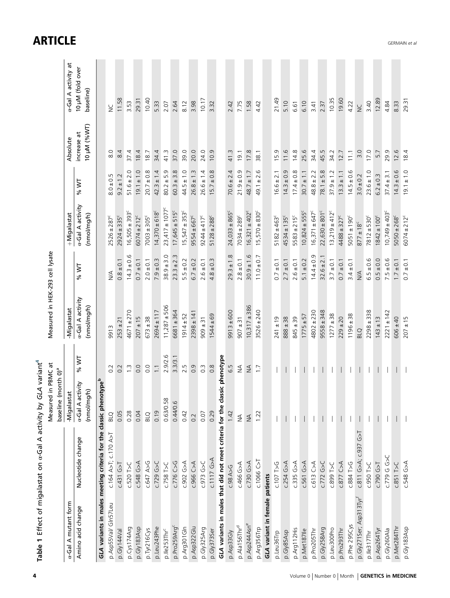<span id="page-3-0"></span>

| Table 1 Effect of migalastat on «-Gal A activity by GLA variant <sup>4</sup> |                                                                               |                                                           |                  |                                 |                |                                 |                    |                           |                               |
|------------------------------------------------------------------------------|-------------------------------------------------------------------------------|-----------------------------------------------------------|------------------|---------------------------------|----------------|---------------------------------|--------------------|---------------------------|-------------------------------|
|                                                                              |                                                                               | Measured in PBMC at<br>(month 0) <sup>a</sup><br>baseline |                  | Measured in HEK-293 cell lysate |                |                                 |                    |                           |                               |
| a-Gal A mutant form                                                          |                                                                               | -Migalastat                                               |                  | Migalastat                      |                | +Migalastat                     |                    | Absolute                  | x-Gal A activity at           |
| Amino acid change                                                            | Nucleotide change                                                             | a-Gal A activity<br>(nmol/mg/h)                           | <b>N %</b>       | a-Gal A activity<br>(nmol/mg/h) | % WT           | a-Gal A activity<br>(nmol/mg/h) | <b>W %</b>         | 10µM (%WT)<br>increase at | 10 µM (fold over<br>baseline) |
|                                                                              | GLA variants in males meeting criteria for the classic phenotype <sup>b</sup> |                                                           |                  |                                 |                |                                 |                    |                           |                               |
| p.Asp55Val/ Gln57Leu                                                         | c.164 A>T; c.170 A>T                                                          | <b>BLQ</b>                                                | 0.2              | 9913                            | $\frac{4}{2}$  | $2526 \pm 287^c$                | S<br>$8.0 \pm 0.5$ | 8.0                       | $\geq$                        |
| p.Gly144Val                                                                  | $C.431$ $G > T$                                                               | 0.05                                                      | 0.2              | $253 \pm 21$                    | $0.8 \pm 0.1$  | $2924 \pm 335^{\circ}$          | $9.2 \pm 1.2$      | 8.4                       | 11.58                         |
| p.Cys174Arg                                                                  | c.520 T>C                                                                     | 0.28                                                      | $\tilde{\omega}$ | $4671 + 270$                    | $14.3 \pm 0.6$ | $16,505 \pm 393^c$              | $51.6 \pm 2.0$     | 37.4                      | 3.53                          |
| p.Gly183Asp                                                                  | c.548 G>A                                                                     | 0.04                                                      | 0.0              | $207 \pm 15$                    | $0.7 \pm 0.1$  | $6074 \pm 212$ <sup>c</sup>     | $19.1 \pm 1.0$     | 18.4                      | 29.31                         |
| p.Tyr216Cys                                                                  | c.647 A>G                                                                     | <b>BLQ</b>                                                | 0.0              | $673 \pm 38$                    | $2.0 \pm 0.1$  | $7003 \pm 305^c$                | $20.7 \pm 0.8$     | 18.7                      | 10.40                         |
| p.Leu243Phe                                                                  | $C.729$ G>C                                                                   | 0.19                                                      | $\overline{1}$   | $2694 \pm 117$                  | $7.9 \pm 0.3$  | $14,370 \pm 618$ <sup>c</sup>   | $42.3 \pm 1.4$     | 34.4                      | 5.33                          |
| p.lle253Thr <sup>c</sup>                                                     | c.758 T>C                                                                     | 0.63/0.58                                                 | 2.9/2.6          | $11,287 \pm 506$                | $38.9 \pm 3.0$ | $23,417 \pm 1077$ <sup>c</sup>  | $80.2 \pm 5.9$     | 41.3                      | 2.07                          |
| p.Pro259Arg                                                                  | $C.776$ $C > G$                                                               | 0.44/0.6                                                  | 3.3/3.1          | 6681 ± 364                      | $23.3 \pm 2.3$ | $17,645 \pm 515^c$              | $60.3 \pm 3.8$     | 37.0                      | 2.64                          |
| p.Arg301Gln                                                                  | <b>C.902 G&gt;A</b>                                                           | 0.42                                                      | 2.5              | $1914 \pm 52$                   | $5.5 \pm 0.2$  | $15,547 \pm 353^c$              | $44.5 \pm 1.0$     | 39.0                      | 8.12                          |
| p.Asp322Glu                                                                  | c.966 C>A                                                                     | 0.2                                                       | 0.9              | $2398 \pm 141$                  | $6.7 \pm 0.2$  | $9554 \pm 667^c$                | $26.8 \pm 1.3$     | 20.0                      | 3.98                          |
| p.Gly325Arg                                                                  | $C.973$ G>C                                                                   | 0.07                                                      | $\overline{0}$ . | $909 \pm 31$                    | $2.6 \pm 0.1$  | $9244 \pm 417^c$                | $26.6 \pm 1.4$     | 24.0                      | 10.17                         |
| p.Gly373Ser                                                                  | $C.1117$ G>A                                                                  | 0.29                                                      | $0.\overline{8}$ | $1544 \pm 69$                   | $4.8 \pm 0.3$  | $5128 \pm 288$                  | $15.7 \pm 0.8$     | 10.9                      | 3.32                          |
|                                                                              | GLA variants in males that did not meet criteria for the classic phenotype    |                                                           |                  |                                 |                |                                 |                    |                           |                               |
| p.Asp33Gly                                                                   | C.98A>G                                                                       | 1.42                                                      | 6.5              | $9913 \pm 600$                  | $29.3 \pm 1.8$ | $24,033 \pm 865$                | $70.6 \pm 2.4$     | 41.3                      | 2.42                          |
| p.Ala156Thr <sup>d</sup>                                                     | c.466 G>A                                                                     | $\frac{1}{2}$                                             | $\lessgtr$       | $907 \pm 31$                    | $2.8 \pm 0.1$  | $7034 \pm 289^{\circ}$          | $21.9 \pm 0.9$     | 19.1                      | 7.75                          |
| p.Asp244Asne                                                                 | $C.730$ G>A                                                                   | $\lessgtr$                                                | $\lessgtr$       | $10,317 \pm 386$                | $30.9 \pm 1.6$ | $16,321 \pm 402^{\circ}$        | $48.7 \pm 1.7$     | 17.8                      | 1.58                          |
| p.Arg356Trp                                                                  | c.1066C>                                                                      | 1.22                                                      | $\overline{1}$ . | $3526 \pm 240$                  | $11.0 \pm 0.7$ | $15,570 \pm 830^c$              | $49.1 \pm 2.6$     | 38.1                      | 4.42                          |
| GLA variant in female                                                        | patients                                                                      |                                                           |                  |                                 |                |                                 |                    |                           |                               |
| p.Leu36Trp                                                                   | c.107T>5                                                                      |                                                           |                  | $241 \pm 19$                    | $0.7 \pm 0.1$  | $5182 + 463^{\circ}$            | $16.6 \pm 2.1$     | 15.9                      | 21.49                         |
| p.Gly85Asp                                                                   | $c.254$ G>A                                                                   |                                                           |                  | $888 \pm 38$                    | $2.7 \pm 0.1$  | $4534 \pm 135^{\circ}$          | $14.3 \pm 0.9$     | 11.6                      | 5.10                          |
| p.Arg112His                                                                  | c.335 G>A                                                                     |                                                           |                  | $845 \pm 39$                    | $2.6 \pm 0.1$  | $5583 \pm 215^{\circ}$          | $17.4 \pm 0.8$     | 14.8                      | 6.61                          |
| p.Met187lle                                                                  | c.561 G>A                                                                     |                                                           |                  | $1775 + 57$                     | $5.1 \pm 0.2$  | $10,824 \pm 555^{\circ}$        | $30.7 \pm 1.1$     | 25.6                      | 6.10                          |
| p.Pro205Thr                                                                  | $c.613$ C>A                                                                   |                                                           |                  | $4802 \pm 230$                  | $14.4 \pm 0.9$ | $16,371 \pm 647^c$              | $48.8 \pm 2.2$     | 34.4                      | 3.41                          |
| p.Gly258Arg                                                                  | c.772 G>C                                                                     |                                                           |                  | $9558 \pm 348$                  | $32.6 \pm 2.1$ | $22,630 \pm 801$ <sup>c</sup>   | $78.1 + 5.8$       | 45.5                      | 2.37                          |
| p.Leu300Pro                                                                  | $C.899$ T>C                                                                   |                                                           |                  | $1277 \pm 38$                   | $3.7 \pm 0.1$  | $13,219 \pm 412^c$              | $37.9 \pm 1.2$     | 34.2                      | 10.35                         |
| p.Pro293Thr                                                                  | <b>C.877 C&gt;A</b>                                                           |                                                           |                  | $229 \pm 20$                    | $0.7 \pm 0.1$  | $4488 \pm 327^c$                | $13.3 \pm 1.1$     | 12.7                      | 19.60                         |
| p.Phe 295Cys                                                                 | C.884T>G                                                                      |                                                           |                  | $1196 \pm 38$                   | $3.4 \pm 0.1$  | $5051 \pm 190^c$                | $14.5 \pm 0.6$     | 11.1                      | 4.22                          |
| p.Gly271Ser; Asp313Tyr                                                       | 79<br>C.937<br>c.811 G>A;                                                     |                                                           |                  | <b>BLQ</b>                      | $\leq$         | $877 \pm 18^c$                  | $3.0 \pm 0.2$      | 3.0                       | $\overline{z}$                |
| p.lle317Thr                                                                  | $C.950$ T>C                                                                   |                                                           |                  | $2298 \pm 338$                  | $6.5 \pm 0.6$  | $7812 \pm 530^{\circ}$          | $23.6 \pm 1.0$     | 17.0                      | 3.40                          |
| p.Asp264Tyr                                                                  | C.790G > T                                                                    |                                                           |                  | $143 \pm 13$                    | $0.5 \pm 0.0$  | $1842 \pm 100^{\circ}$          | $6.2 \pm 0.3$      | 5.7                       | 12.89                         |
| p.Gly260Ala                                                                  | C.779 G G>C                                                                   |                                                           |                  | $2221 \pm 142$                  | $7.5 \pm 0.6$  | $10,749 \pm 403$ <sup>c</sup>   | $37.4 \pm 3.1$     | 29.9                      | 4.84                          |
| p.Met284Thr                                                                  | $C.851$ T>C                                                                   |                                                           |                  | $606 \pm 40$                    | $1.7 \pm 0.1$  | $5050 \pm 268^{\circ}$          | $14.3 \pm 0.6$     | 12.6                      | 8.33                          |
| p.Gly183Asp                                                                  | c.548 G>A                                                                     |                                                           |                  | $207 \pm 15$                    | $0.7 \pm 0.1$  | $6074 \pm 212$ <sup>c</sup>     | $19.1 \pm 1.0$     | 18.4                      | 29.31                         |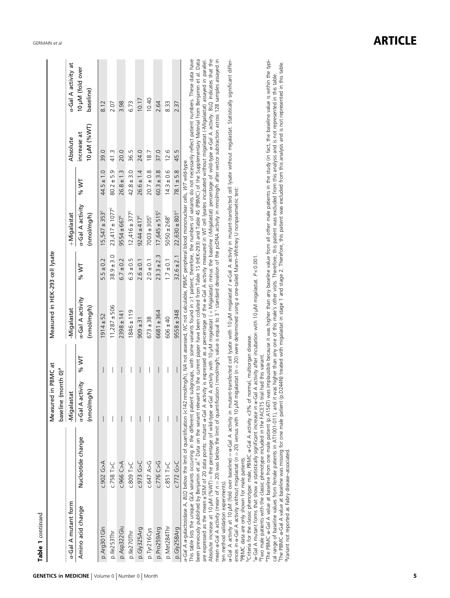| Table 1 continued                                                                               |                                                                                                                                                                                                                                                                                                                                                                                                                                                                                                                                                                                                                                                                                                                                                                                                                                                                                                                                                                                                                                                                                                                                                                                                                                                                                                                                                                                                                                                                                                                                                                                                                                                                                                                                                                                                                        |                                                           |                             |                                 |                |                                 |                |                            |                               |
|-------------------------------------------------------------------------------------------------|------------------------------------------------------------------------------------------------------------------------------------------------------------------------------------------------------------------------------------------------------------------------------------------------------------------------------------------------------------------------------------------------------------------------------------------------------------------------------------------------------------------------------------------------------------------------------------------------------------------------------------------------------------------------------------------------------------------------------------------------------------------------------------------------------------------------------------------------------------------------------------------------------------------------------------------------------------------------------------------------------------------------------------------------------------------------------------------------------------------------------------------------------------------------------------------------------------------------------------------------------------------------------------------------------------------------------------------------------------------------------------------------------------------------------------------------------------------------------------------------------------------------------------------------------------------------------------------------------------------------------------------------------------------------------------------------------------------------------------------------------------------------------------------------------------------------|-----------------------------------------------------------|-----------------------------|---------------------------------|----------------|---------------------------------|----------------|----------------------------|-------------------------------|
|                                                                                                 |                                                                                                                                                                                                                                                                                                                                                                                                                                                                                                                                                                                                                                                                                                                                                                                                                                                                                                                                                                                                                                                                                                                                                                                                                                                                                                                                                                                                                                                                                                                                                                                                                                                                                                                                                                                                                        | Measured in PBMC at<br>(morth 0) <sup>a</sup><br>baseline |                             | Measured in HEK-293 cell lysate |                |                                 |                |                            |                               |
| a-Gal A mutant form                                                                             |                                                                                                                                                                                                                                                                                                                                                                                                                                                                                                                                                                                                                                                                                                                                                                                                                                                                                                                                                                                                                                                                                                                                                                                                                                                                                                                                                                                                                                                                                                                                                                                                                                                                                                                                                                                                                        | -Migalastat                                               |                             | -Migalastat                     |                | +Migalastat                     |                | Absolute                   | a-Gal A activity at           |
| Amino acid change                                                                               | Nucleotide change                                                                                                                                                                                                                                                                                                                                                                                                                                                                                                                                                                                                                                                                                                                                                                                                                                                                                                                                                                                                                                                                                                                                                                                                                                                                                                                                                                                                                                                                                                                                                                                                                                                                                                                                                                                                      | a-Gal A activity<br>(nmol/mg/h)                           | % WT                        | a-Gal A activity<br>(nmol/mg/h) | % WT           | a-Gal A activity<br>(nmol/mg/h) | % WT           | 10 µM (%WT)<br>increase at | 10 µM (fold over<br>baseline) |
| p.Arg301Gln                                                                                     | <b>C.902 G&gt;A</b>                                                                                                                                                                                                                                                                                                                                                                                                                                                                                                                                                                                                                                                                                                                                                                                                                                                                                                                                                                                                                                                                                                                                                                                                                                                                                                                                                                                                                                                                                                                                                                                                                                                                                                                                                                                                    | $\overline{\phantom{a}}$                                  | $\overline{\phantom{a}}$    | $1914 + 52$                     | $5.5 \pm 0.2$  | $15,547 \pm 353^c$              | $44.5 \pm 1.0$ | 39.0                       | 8.12                          |
| p.lle253Thr                                                                                     | $c.758$ T>C                                                                                                                                                                                                                                                                                                                                                                                                                                                                                                                                                                                                                                                                                                                                                                                                                                                                                                                                                                                                                                                                                                                                                                                                                                                                                                                                                                                                                                                                                                                                                                                                                                                                                                                                                                                                            | I                                                         | I                           | $11,287 \pm 506$                | $38.9 \pm 3.0$ | $23,417 \pm 1077^c$             | $80.2 \pm 5.9$ | 41.3                       | 2.07                          |
| p.Asp322Glu                                                                                     | <b>C.966 C&gt;A</b>                                                                                                                                                                                                                                                                                                                                                                                                                                                                                                                                                                                                                                                                                                                                                                                                                                                                                                                                                                                                                                                                                                                                                                                                                                                                                                                                                                                                                                                                                                                                                                                                                                                                                                                                                                                                    | $\overline{\phantom{a}}$                                  | $\overline{\phantom{a}}$    | $2398 \pm 141$                  | $6.7 \pm 0.2$  | $9554 \pm 667^c$                | $26.8 \pm 1.3$ | 20.0                       | 3.98                          |
| p.lle270Thr                                                                                     | $C.809$ T>C                                                                                                                                                                                                                                                                                                                                                                                                                                                                                                                                                                                                                                                                                                                                                                                                                                                                                                                                                                                                                                                                                                                                                                                                                                                                                                                                                                                                                                                                                                                                                                                                                                                                                                                                                                                                            | I                                                         | I                           | $1846 \pm 119$                  | $6.3 \pm 0.5$  | $12,416 \pm 377$ <sup>c</sup>   | $42.8 \pm 3.0$ | 36.5                       | 6.73                          |
| p.Gly325Arg                                                                                     | C.973 G>C                                                                                                                                                                                                                                                                                                                                                                                                                                                                                                                                                                                                                                                                                                                                                                                                                                                                                                                                                                                                                                                                                                                                                                                                                                                                                                                                                                                                                                                                                                                                                                                                                                                                                                                                                                                                              |                                                           |                             | $909 \pm 31$                    | $2.6 \pm 0.1$  | $9244 \pm 417^c$                | $26.6 \pm 1.4$ | 24.0                       | 10.17                         |
| p.Tyr216Cys                                                                                     | <b>C.647 A&gt;G</b>                                                                                                                                                                                                                                                                                                                                                                                                                                                                                                                                                                                                                                                                                                                                                                                                                                                                                                                                                                                                                                                                                                                                                                                                                                                                                                                                                                                                                                                                                                                                                                                                                                                                                                                                                                                                    |                                                           |                             | $673 \pm 38$                    | $2.0 \pm 0.1$  | $7003 \pm 305^{\circ}$          | $20.7 \pm 0.8$ | 18.7                       | 10.40                         |
| p.Pro259Arg                                                                                     | C.776 C>G                                                                                                                                                                                                                                                                                                                                                                                                                                                                                                                                                                                                                                                                                                                                                                                                                                                                                                                                                                                                                                                                                                                                                                                                                                                                                                                                                                                                                                                                                                                                                                                                                                                                                                                                                                                                              | $\overline{\phantom{a}}$                                  | $\overline{\phantom{a}}$    | 6681±364                        | $23.3 \pm 2.3$ | $17,645 \pm 515^{\circ}$        | $60.3 + 3.8$   | 37.0                       | 2.64                          |
| p.Met284Thr                                                                                     | $C.851$ T>C                                                                                                                                                                                                                                                                                                                                                                                                                                                                                                                                                                                                                                                                                                                                                                                                                                                                                                                                                                                                                                                                                                                                                                                                                                                                                                                                                                                                                                                                                                                                                                                                                                                                                                                                                                                                            | $\overline{\phantom{a}}$                                  | $\overline{\phantom{a}}$    | $606 \pm 40$                    | $1.7 \pm 0.1$  | $5050 \pm 268$ <sup>c</sup>     | $14.3 \pm 0.6$ | 12.6                       | 8.33                          |
| p.Gly258Arg                                                                                     | $C$ 772 G>C                                                                                                                                                                                                                                                                                                                                                                                                                                                                                                                                                                                                                                                                                                                                                                                                                                                                                                                                                                                                                                                                                                                                                                                                                                                                                                                                                                                                                                                                                                                                                                                                                                                                                                                                                                                                            | $\overline{\phantom{a}}$                                  | $\overline{\phantom{a}}$    | $9558 \pm 348$                  | $32.6 \pm 2.1$ | $22,630 \pm 801^c$              | $78.1 + 5.8$   | 45.5                       | 2.37                          |
| <sup>a</sup> PBMC data are only shown for male patients.<br>ten method validation experiments). | a-Gal A activity at 10 µM (fold over baseline) = a-Gal A activity in mutant-transfected cell lysate with 10 µM migalastat / a-Gal A activity in mutant-transfected cell lysate without migalastat. Statistically significant d<br>This table lists the unique GLA variants occurring in the different patient subgroups, with some variants found in ≥1 patient; therefore, the numbers of variants do not necessarily reflect patient numbers. These data have<br>Absolute increase at 10 µM (%WT) = the percentage of wild-type &-Gal A activity with 10 µM migalastat) minus the baseline (-Migalastat) percentage of wild-type &-Gal A activity. BLQ indicates that the<br>mean of $n=20$ ) was below the limit of quantification (nmol/mg/n; value is equal to 3 'standard deviation of the pcDNA activity in nmol/mg/n after vector subtraction across 128 samples assayed in<br>been previously published by Benjamin et al. <sup>4</sup> Data on the variant relevant to the current paper have been collated from Table 15 (HEK-293) and Table 45 (PBMC) of the Supplementary Material from Benjamin et al. Data<br>are expressed as the mean +SEM of 20 data points: mutant or-Gal A activity is expressed as a percentage of the or-Gal A activity measured in WT cell lysates incubated without migalastat (-Migalastat) assayed in parallel.<br>a-Gal A α-galactosidase A, BLQ below the limit of quantification (<142 nmol/mg/h), MA not assessed, NC not calculable, PBMC peripheral blood mononuclear cells, WT wild-type.<br>ences in $\alpha$ -Gal A activity without migalastat ( $n = 20$ ) versus with 10 µM migalastat ( $n = 20$ ) were determined using a one-tailed Mann-Whitney U nonparametric test:<br><sup>D</sup> Criteria for the classic phenotype: male, PBMC a-Gal A activity <3% of |                                                           | normal, multiorgan disease. |                                 |                |                                 |                |                            |                               |

cα-Gal A mutant forms that show a statistically significant increase in α-Gal A activity after incubation with 10 μM migalastat. P < 0.001.

dTwo male patients with the classic phenotype included in the FACETS trial had this variant.

- Criteria for the classic prieting per malle, Pavily Care in a critical controlly into the multiplation with 10 pM migalastat. P< 0.001.<br>"GGal A mutant forms that show a statsically signifiercase in α-Gal A activity after eThe PBMC α-Gal A value at baseline from one male patient (p.A156T) was implausible because it was higher than any baseline value from all other male patients in the study (in fact, the baseline value is within the typifThe PBMC α-Gal A value at baseline was missing for one male patient (p.D244N) treated with migalastat in stage 1 and stage 2. Therefore, this patient was excluded from this analysis and is not represented in this table. cal range of baseline values from female patients in AT1001-011), and it was higher than any one of this male's other visits. Therefore, this patient was excluded from this analysis and is not represented in this table. gVariant not reported as Fabry disease–associated.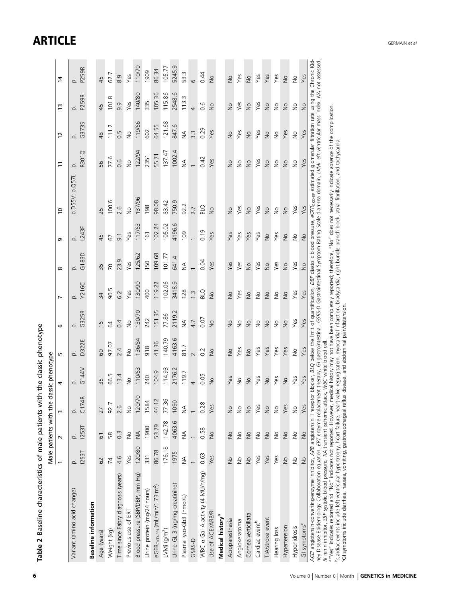<span id="page-5-0"></span>

| Table 2 Baseline characteristics of male patients wit                                                                                                                                                                                                                                                                                                                                                                                                                                                                                                                                                                              |                | Male patients with the     |               | h the classic phenotype<br>assic phenotype |                  |                            |                |                |                          |                                                                                                                                     |                |                            |                            |               |
|------------------------------------------------------------------------------------------------------------------------------------------------------------------------------------------------------------------------------------------------------------------------------------------------------------------------------------------------------------------------------------------------------------------------------------------------------------------------------------------------------------------------------------------------------------------------------------------------------------------------------------|----------------|----------------------------|---------------|--------------------------------------------|------------------|----------------------------|----------------|----------------|--------------------------|-------------------------------------------------------------------------------------------------------------------------------------|----------------|----------------------------|----------------------------|---------------|
|                                                                                                                                                                                                                                                                                                                                                                                                                                                                                                                                                                                                                                    |                | $\sim$                     | m             | 4                                          | m                | $\circ$                    | $\overline{ }$ | $\infty$       | თ                        | $\overline{c}$                                                                                                                      | $\overline{1}$ | 12                         | $\tilde{c}$                | $\ddot{4}$    |
| Variant (amino acid change)                                                                                                                                                                                                                                                                                                                                                                                                                                                                                                                                                                                                        | 1253T<br>غ     | p.<br>I253T                | C174R<br>غ    | G144V<br>ö.                                | D322E<br>c.      | G325R<br>ó.                | Y216C<br>o.    | G183D<br>ó.    | L243F<br>d.              | p.D55V; p.Q57L                                                                                                                      | R301Q<br>غ     | G373S<br>ó.                | p.<br>P259R                | p.<br>P259R   |
| <b>Baseline information</b>                                                                                                                                                                                                                                                                                                                                                                                                                                                                                                                                                                                                        |                |                            |               |                                            |                  |                            |                |                |                          |                                                                                                                                     |                |                            |                            |               |
| Age (years)                                                                                                                                                                                                                                                                                                                                                                                                                                                                                                                                                                                                                        | 62             | 61                         | 27            | 35                                         | 60               | $\frac{0}{1}$              | 34             | 35             | 45                       | 25                                                                                                                                  | 95             | $\frac{8}{3}$              | 45                         | 45            |
| Weight (kg)                                                                                                                                                                                                                                                                                                                                                                                                                                                                                                                                                                                                                        | $\overline{7}$ | 58                         | 92.7          | 66.5                                       | 97.07            | $\mathcal{Q}$              | 90.5           | $\overline{C}$ | 67                       | 100.6                                                                                                                               | 77.6           | Ņ<br>$\frac{1}{11}$        | œ<br>101                   | 62.7          |
| Time since Fabry diagnosis (years)                                                                                                                                                                                                                                                                                                                                                                                                                                                                                                                                                                                                 | 4.6            | $0.\overline{3}$           | 2.6           | 13.4                                       | 2.4              | 0.4                        | 6.2            | 23.9           | $\overline{9}$ .         | 2.6                                                                                                                                 | 0.6            | 0.5                        | 9.9                        | 8.9           |
| Previous use of ERT                                                                                                                                                                                                                                                                                                                                                                                                                                                                                                                                                                                                                | Yes            | $\frac{1}{2}$              | $\frac{1}{2}$ | $\frac{1}{2}$                              | $\frac{1}{2}$    | $\frac{1}{2}$              | Yes            | Yes            | Yes                      | $\frac{1}{2}$                                                                                                                       | $\frac{1}{2}$  | $\frac{1}{2}$              | Yes                        | Yes           |
| Blood pressure (SBP/DBP, mm Hg)                                                                                                                                                                                                                                                                                                                                                                                                                                                                                                                                                                                                    | 120/80         | $\leq$                     | 120/70        | 110/63                                     | 136/84           | 130/70                     | 130/90         | 125/62         | 117/63                   | 137/96                                                                                                                              | 122/94         | 119/66                     | 140/80                     | 110/70        |
| Urine protein (mg/24 hours)                                                                                                                                                                                                                                                                                                                                                                                                                                                                                                                                                                                                        | 331            | 1900                       | 1584          | 240                                        | 918              | 242                        | 400            | 150            | 161                      | 198                                                                                                                                 | 2351           | 602                        | 335                        | 1909          |
| eGFR <sub>CKD-EPI</sub> (mL/min/1.73 m <sup>2</sup> )                                                                                                                                                                                                                                                                                                                                                                                                                                                                                                                                                                              | 86.78          | 53.79                      | 44.12         | 104.9                                      | 41.36            | 151.35                     | 119.22         | 109.68         | 102.24                   | 98.08                                                                                                                               | 55.71          | 64.55                      | 105.36                     | 86.34         |
| LVMi $(g/m2)$                                                                                                                                                                                                                                                                                                                                                                                                                                                                                                                                                                                                                      | 176.18         | 142.78                     | 77.36         | 114.93                                     | 140.79           | 77.86                      | 102.06         | 101.77         | 105.02                   | 83.42                                                                                                                               | 137.47         | 121.68                     | 115.86                     | 105.77        |
| Urine GL-3 (ng/mg creatinine)                                                                                                                                                                                                                                                                                                                                                                                                                                                                                                                                                                                                      | 1975           | 4063.6                     | 1090          | 2176.2                                     | 4163.6           | 2119.2                     | 3418.9         | 641.4          | 4196.6                   | 750.9                                                                                                                               | 1002.4         | 847.6                      | 2548.6                     | 5245.9        |
| Plasma lyso-Gb3 (nmol/L)                                                                                                                                                                                                                                                                                                                                                                                                                                                                                                                                                                                                           | $\frac{4}{2}$  | $\frac{1}{2}$              | ₹             | 119.7                                      | 81.7             | $\frac{1}{2}$              | 128            | $\frac{4}{2}$  | 109                      | 92.2                                                                                                                                | $\lessgtr$     | $\lessgtr$                 | 113.3                      | 53.3          |
| GSRS-D                                                                                                                                                                                                                                                                                                                                                                                                                                                                                                                                                                                                                             |                |                            |               | 4                                          | $\sim$           | 4.7                        | $\frac{3}{2}$  |                |                          | 2.7                                                                                                                                 |                | $3.\overline{3}$           | 4                          | $\circ$       |
| WBC α-Gal A activity (4 MU/h/mg)                                                                                                                                                                                                                                                                                                                                                                                                                                                                                                                                                                                                   | 0.63           | 0.58                       | 0.28          | 0.05                                       | $0.\overline{2}$ | 0.07                       | <b>BLQ</b>     | 0.04           | 0.19                     | <b>BLQ</b>                                                                                                                          | 0.42           | 0.29                       | 0.6                        | 0.44          |
| Use of ACEI/ARB/RI                                                                                                                                                                                                                                                                                                                                                                                                                                                                                                                                                                                                                 | Yes            | $\frac{1}{2}$              | Yes           | $\frac{1}{2}$                              | $\frac{1}{2}$    | $\frac{1}{2}$              | $\frac{1}{2}$  | Yes            | Yes                      | $\frac{1}{2}$                                                                                                                       | Yes            | Yes                        | $\frac{1}{2}$              | $\frac{1}{2}$ |
| Medical history <sup>a</sup>                                                                                                                                                                                                                                                                                                                                                                                                                                                                                                                                                                                                       |                |                            |               |                                            |                  |                            |                |                |                          |                                                                                                                                     |                |                            |                            |               |
| Acroparesthesia                                                                                                                                                                                                                                                                                                                                                                                                                                                                                                                                                                                                                    | $\frac{1}{2}$  | $\frac{1}{2}$              | $\geq$        | Yes                                        | $\frac{1}{2}$    | $\geq$                     | $\frac{1}{2}$  | Yes            | Yes                      | $\geq$                                                                                                                              | $\frac{1}{2}$  | $\frac{1}{2}$              | $\frac{1}{2}$              | $\frac{1}{2}$ |
| Angiokeratoma                                                                                                                                                                                                                                                                                                                                                                                                                                                                                                                                                                                                                      | $\frac{1}{2}$  | $\stackrel{\circ}{\geq}$   | $\geq$        | $\stackrel{\circ}{\geq}$                   | Yes              | $\stackrel{\circ}{\geq}$   | Yes            | Yes            | Yes                      | Yes                                                                                                                                 | $\frac{1}{2}$  | Yes                        | Yes                        | Yes           |
| Cornea verticillata                                                                                                                                                                                                                                                                                                                                                                                                                                                                                                                                                                                                                | $\frac{1}{2}$  | $\gtrsim$                  | $\geq$        | $\frac{0}{2}$                              | $\frac{1}{2}$    | $\gtrsim$                  | $\gtrsim$      | $\frac{1}{2}$  | Yes                      | $\geq$                                                                                                                              | $\frac{1}{2}$  | $\frac{1}{2}$              | $\frac{1}{2}$              | $\frac{1}{2}$ |
| Cardiac eventb                                                                                                                                                                                                                                                                                                                                                                                                                                                                                                                                                                                                                     | Yes            | $\stackrel{\circ}{\geq}$   | Yes           | Yes                                        | Yes              | $\frac{1}{2}$              | $\geq$         | Yes            | Yes                      | Yes                                                                                                                                 | Yes            | Yes                        | Yes                        | Yes           |
| TIA/stroke event                                                                                                                                                                                                                                                                                                                                                                                                                                                                                                                                                                                                                   | Yes            | $\frac{\circ}{\circ}$      | $\frac{1}{2}$ | $\frac{1}{2}$                              | Yes              | $\frac{1}{2}$              | $\frac{1}{2}$  | $\frac{1}{2}$  | $\frac{1}{2}$            | $\frac{1}{2}$                                                                                                                       | $\frac{1}{2}$  | $\frac{1}{2}$              | $\frac{1}{2}$              | Yes           |
| Hearing loss                                                                                                                                                                                                                                                                                                                                                                                                                                                                                                                                                                                                                       | Yes            | $\stackrel{\circ}{\simeq}$ | $\geq$        | Yes                                        | Yes              | $\stackrel{\circ}{\simeq}$ | $\geq$         | Yes            | Yes                      | $\geq$                                                                                                                              | $\geq$         | $\stackrel{\circ}{\simeq}$ | $\stackrel{\circ}{\simeq}$ | Yes           |
| Hypertension                                                                                                                                                                                                                                                                                                                                                                                                                                                                                                                                                                                                                       | $\frac{1}{2}$  | $\frac{\circ}{\circ}$      | Yes           | $\frac{1}{2}$                              | Yes              | $\frac{1}{2}$              | $\geq$         | $\frac{1}{2}$  | $\frac{1}{2}$            | $\gtrless$                                                                                                                          | $\gtrsim$      | Yes                        | $\frac{1}{2}$              | $\geq$        |
| Hypohidrosis                                                                                                                                                                                                                                                                                                                                                                                                                                                                                                                                                                                                                       | $\frac{1}{2}$  | $\frac{\circ}{\circ}$      | $\frac{1}{2}$ | Yes                                        | $\frac{1}{2}$    | Yes                        | Yes            | Yes            | $\stackrel{\circ}{\geq}$ | Yes                                                                                                                                 | $\frac{1}{2}$  | $\frac{1}{2}$              | $\frac{1}{2}$              | $\frac{1}{2}$ |
| GI symptoms <sup>c</sup>                                                                                                                                                                                                                                                                                                                                                                                                                                                                                                                                                                                                           | $\frac{1}{2}$  | $\frac{1}{2}$              | Yes           | Yes                                        | Yes              | Yes                        | Yes            | $\frac{1}{2}$  | $\frac{1}{2}$            | Yes                                                                                                                                 | Yes            | Yes                        | $\frac{1}{2}$              | Yes           |
| ACE angiotensin-converting-enzyme inhibitor, ARB angiotensin II receptor blocker, BLO below the limit of quantification, DBP diastolic blood pressure, eGFR <sub>CKD-EP</sub> estimated glomerular filtration rate using the Chronic Kid<br>a "Yes" indicates reported and "No" indicates not reported. However, medical history may not have been completely reported; therefore, "No" does not necessarily indicate absence of the complication<br>RI renin inhibitor, SBP systolic blood pressure, TIA transient ischemic attack, IVBC white blood cell<br>ney Disease Epidemiology Collaboration equation, ERT enzyme replacem |                |                            |               | $\widetilde{\sigma}$<br>ent therapy,       |                  |                            |                |                |                          | gastrointestinal, GSRS-D Gastrointestinal Symptom Rating Scale diarrhea domain, LVM/i left ventricular mass index, NA not assessed, |                |                            |                            |               |

6 Volume 0 | Number 0 | Month | GENETICS in MEDICINE

Cardiac events include left ventricular hypertrophy, heart failure, heart valve requrgitation, myocardial infarction, bradycardia, right bundle branch block, atrial fibrillation, and tachycardia.

cGI symptoms include diarrhea, nausea, vomiting, gastroesophageal reflux disease, and abdominal pain/distension.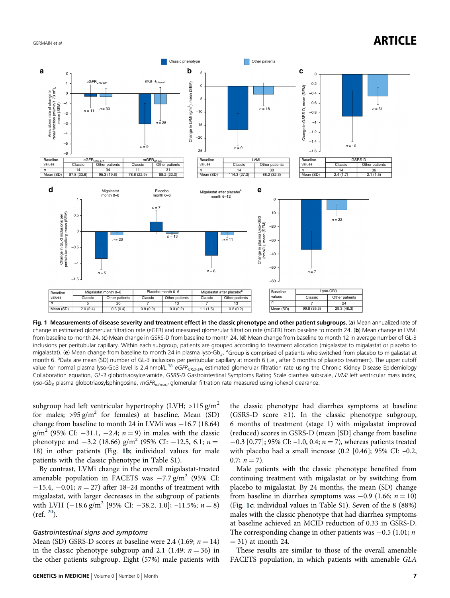<span id="page-6-0"></span>

Fig. 1 Measurements of disease severity and treatment effect in the classic phenotype and other patient subgroups. (a) Mean annualized rate of change in estimated glomerular filtration rate (eGFR) and measured glomerular filtration rate (mGFR) from baseline to month 24. (b) Mean change in LVMi from baseline to month 24. (c) Mean change in GSRS-D from baseline to month 24. (d) Mean change from baseline to month 12 in average number of GL-3 inclusions per peritubular capillary. Within each subgroup, patients are grouped according to treatment allocation (migalastat to migalastat or placebo to migalastat). (e) Mean change from baseline to month 24 in plasma lyso-Gb<sub>3</sub>. <sup>a</sup>Group is comprised of patients who switched from placebo to migalastat at month 6. <sup>b</sup>Data are mean (SD) number of GL-3 inclusions per peritubular capillary at month 6 (i.e., after 6 months of placebo treatment). The upper cutoff value for normal plasma lyso-Gb3 level is 2.4 nmol/L.<sup>[38](#page-10-0)</sup> eGFR<sub>CKD-EPI</sub> estimated glomerular filtration rate using the Chronic Kidney Disease Epidemiology Collaboration equation, GL-3 globotriaosylceramide, GSRS-D Gastrointestinal Symptoms Rating Scale diarrhea subscale, LVMi left ventricular mass index, lyso-Gb<sub>3</sub> plasma globotriaosylsphingosine, mGFR<sub>iohexol</sub> glomerular filtration rate measured using iohexol clearance.

subgroup had left ventricular hypertrophy (LVH;  $>115$  g/m<sup>2</sup> for males;  $>95 \frac{g}{m^2}$  for females) at baseline. Mean (SD) change from baseline to month 24 in LVMi was −16.7 (18.64) g/m<sup>2</sup> (95% CI: −31.1, −2.4; *n* = 9) in males with the classic phenotype and  $-3.2$  (18.66) g/m<sup>2</sup> (95% CI:  $-12.5$ , 6.1; n = 18) in other patients (Fig. 1b; individual values for male patients with the classic phenotype in Table S1).

By contrast, LVMi change in the overall migalastat-treated amenable population in FACETS was  $-7.7$  g/m<sup>2</sup> (95% CI:  $-15.4$ ,  $-0.01$ ;  $n = 27$ ) after 18–24 months of treatment with migalastat, with larger decreases in the subgroup of patients with LVH  $(-18.6 \text{ g/m}^2 \text{ [95\% CI: } -38.2, 1.0]$ ; -11.5%;  $n = 8$ )  $(ref. 20)$  $(ref. 20)$  $(ref. 20)$ .

#### Gastrointestinal signs and symptoms

Mean (SD) GSRS-D scores at baseline were 2.4 (1.69;  $n = 14$ ) in the classic phenotype subgroup and 2.1 (1.49;  $n = 36$ ) in the other patients subgroup. Eight (57%) male patients with

the classic phenotype had diarrhea symptoms at baseline (GSRS-D score  $\geq$ 1). In the classic phenotype subgroup, 6 months of treatment (stage 1) with migalastat improved (reduced) scores in GSRS-D (mean [SD] change from baseline  $-0.3$  [0.77]; 95% CI: –1.0, 0.4;  $n = 7$ ), whereas patients treated with placebo had a small increase  $(0.2 \; [0.46]; 95\% \; \text{CI: } -0.2,$ 0.7;  $n = 7$ ).

Male patients with the classic phenotype benefited from continuing treatment with migalastat or by switching from placebo to migalastat. By 24 months, the mean (SD) change from baseline in diarrhea symptoms was  $-0.9$  (1.66;  $n = 10$ ) (Fig. 1c; individual values in Table S1). Seven of the 8 (88%) males with the classic phenotype that had diarrhea symptoms at baseline achieved an MCID reduction of 0.33 in GSRS-D. The corresponding change in other patients was  $-0.5$  (1.01; *n*  $= 31$ ) at month 24.

These results are similar to those of the overall amenable FACETS population, in which patients with amenable GLA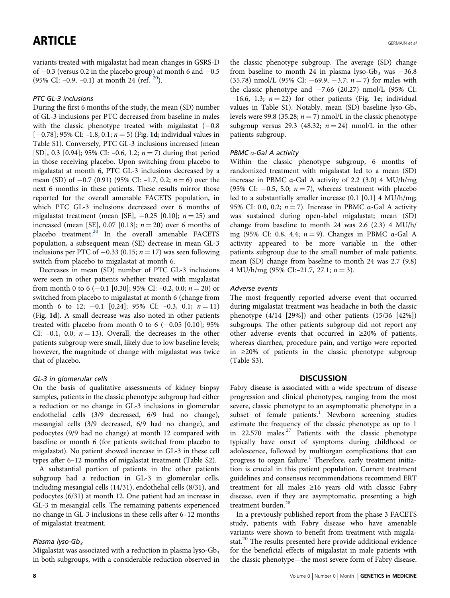variants treated with migalastat had mean changes in GSRS-D of  $-0.3$  (versus 0.2 in the placebo group) at month 6 and  $-0.5$ (95% CI:  $-0.9$ ,  $-0.1$ ) at month 24 (ref.  $^{20}$  $^{20}$  $^{20}$ ).

# PTC GL-3 inclusions

During the first 6 months of the study, the mean (SD) number of GL-3 inclusions per PTC decreased from baseline in males with the classic phenotype treated with migalastat  $(-0.8)$ [−0.78]; 95% CI: −[1](#page-6-0).8, 0.1; *n* = 5) (Fig. 1**d**; individual values in Table S1). Conversely, PTC GL-3 inclusions increased (mean [SD], 0.3 [0.94]; 95% CI: -0.6, 1.2;  $n = 7$ ) during that period in those receiving placebo. Upon switching from placebo to migalastat at month 6, PTC GL-3 inclusions decreased by a mean (SD) of  $-0.7$  (0.91) (95% CI:  $-1.7$ , 0.2;  $n = 6$ ) over the next 6 months in these patients. These results mirror those reported for the overall amenable FACETS population, in which PTC GL-3 inclusions decreased over 6 months of migalastat treatment (mean [SE],  $-0.25$  [0.10];  $n = 25$ ) and increased (mean [SE], 0.07 [0.13];  $n = 20$ ) over 6 months of placebo treatment.<sup>[20](#page-10-0)</sup> In the overall amenable FACETS population, a subsequent mean (SE) decrease in mean GL-3 inclusions per PTC of  $-0.33$  (0.15;  $n = 17$ ) was seen following switch from placebo to migalastat at month 6.

Decreases in mean (SD) number of PTC GL-3 inclusions were seen in other patients whether treated with migalastat from month 0 to 6 (−0.1 [0.30]; 95% CI: −0.2, 0.0;  $n = 20$ ) or switched from placebo to migalastat at month 6 (change from month 6 to 12; -0.1 [0.24]; 95% CI: -0.3, 0.1;  $n = 11$ ] (Fig. [1](#page-6-0)d). A small decrease was also noted in other patients treated with placebo from month 0 to 6  $(-0.05 \; [0.10]; 95\%)$ CI:  $-0.1$ , 0.0;  $n = 13$ ). Overall, the decreases in the other patients subgroup were small, likely due to low baseline levels; however, the magnitude of change with migalastat was twice that of placebo.

### GL-3 in glomerular cells

On the basis of qualitative assessments of kidney biopsy samples, patients in the classic phenotype subgroup had either a reduction or no change in GL-3 inclusions in glomerular endothelial cells (3/9 decreased, 6/9 had no change), mesangial cells (3/9 decreased, 6/9 had no change), and podocytes (9/9 had no change) at month 12 compared with baseline or month 6 (for patients switched from placebo to migalastat). No patient showed increase in GL-3 in these cell types after 6–12 months of migalastat treatment (Table S2).

A substantial portion of patients in the other patients subgroup had a reduction in GL-3 in glomerular cells, including mesangial cells (14/31), endothelial cells (8/31), and podocytes (6/31) at month 12. One patient had an increase in GL-3 in mesangial cells. The remaining patients experienced no change in GL-3 inclusions in these cells after 6–12 months of migalastat treatment.

### Plasma lyso-G $b_3$

Migalastat was associated with a reduction in plasma lyso- $Gb<sub>3</sub>$ in both subgroups, with a considerable reduction observed in the classic phenotype subgroup. The average (SD) change from baseline to month 24 in plasma lyso-Gb<sub>3</sub> was  $-36.8$ (35.78) nmol/L (95% CI:  $-69.9, -3.7; n = 7$ ) for males with the classic phenotype and  $-7.66$  (20.27) nmol/L (95% CI:  $-16.6$ , 1.3;  $n = 22$ ) for other patients (Fig. [1e](#page-6-0); individual values in Table S1). Notably, mean (SD) baseline lyso-Gb<sub>3</sub> levels were 99.8 (35.28;  $n = 7$ ) nmol/L in the classic phenotype subgroup versus 29.3 (48.32;  $n = 24$ ) nmol/L in the other patients subgroup.

### PBMC  $\alpha$ -Gal A activity

Within the classic phenotype subgroup, 6 months of randomized treatment with migalastat led to a mean (SD) increase in PBMC α-Gal A activity of 2.2 (3.0) 4 MU/h/mg (95% CI:  $-0.5$ , 5.0;  $n = 7$ ), whereas treatment with placebo led to a substantially smaller increase (0.1 [0.1] 4 MU/h/mg; 95% CI: 0.0, 0.2;  $n = 7$ ). Increase in PBMC  $\alpha$ -Gal A activity was sustained during open-label migalastat; mean (SD) change from baseline to month 24 was 2.6 (2.3) 4 MU/h/ mg (95% CI: 0.8, 4.4;  $n = 9$ ). Changes in PBMC  $\alpha$ -Gal A activity appeared to be more variable in the other patients subgroup due to the small number of male patients; mean (SD) change from baseline to month 24 was 2.7 (9.8) 4 MU/h/mg (95% CI:-21.7, 27.1;  $n = 3$ ).

### Adverse events

The most frequently reported adverse event that occurred during migalastat treatment was headache in both the classic phenotype (4/14 [29%]) and other patients (15/36 [42%]) subgroups. The other patients subgroup did not report any other adverse events that occurred in ≥20% of patients, whereas diarrhea, procedure pain, and vertigo were reported in ≥20% of patients in the classic phenotype subgroup (Table S3).

### **DISCUSSION**

Fabry disease is associated with a wide spectrum of disease progression and clinical phenotypes, ranging from the most severe, classic phenotype to an asymptomatic phenotype in a subset of female patients.<sup>1</sup> Newborn screening studies estimate the frequency of the classic phenotype as up to 1 in 22,570 males.<sup>[27](#page-10-0)</sup> Patients with the classic phenotype typically have onset of symptoms during childhood or adolescence, followed by multiorgan complications that can progress to organ failure.<sup>[1](#page-9-0)</sup> Therefore, early treatment initiation is crucial in this patient population. Current treatment guidelines and consensus recommendations recommend ERT treatment for all males ≥16 years old with classic Fabry disease, even if they are asymptomatic, presenting a high treatment burden.<sup>[28](#page-10-0)</sup>

In a previously published report from the phase 3 FACETS study, patients with Fabry disease who have amenable variants were shown to benefit from treatment with migala-stat.<sup>[20](#page-10-0)</sup> The results presented here provide additional evidence for the beneficial effects of migalastat in male patients with the classic phenotype—the most severe form of Fabry disease.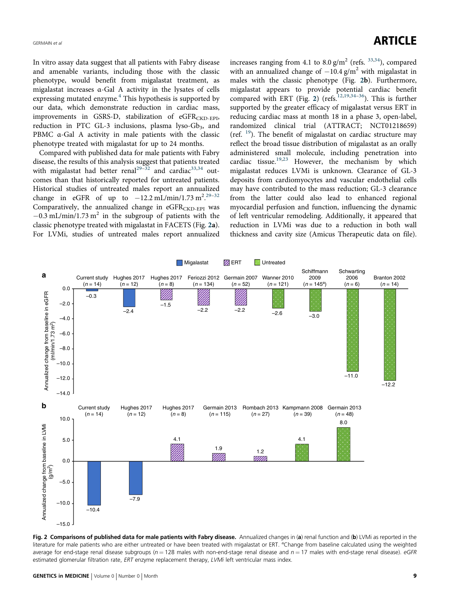# GERMAIN et al $\blacksquare$

In vitro assay data suggest that all patients with Fabry disease and amenable variants, including those with the classic phenotype, would benefit from migalastat treatment, as migalastat increases α-Gal A activity in the lysates of cells expressing mutated enzyme. $4$  This hypothesis is supported by our data, which demonstrate reduction in cardiac mass, improvements in GSRS-D, stabilization of eGFRCKD-EPI, reduction in PTC GL-3 inclusions, plasma lyso-Gb<sub>3</sub>, and PBMC α-Gal A activity in male patients with the classic phenotype treated with migalastat for up to 24 months.

Compared with published data for male patients with Fabry disease, the results of this analysis suggest that patients treated with migalastat had better renal<sup>[29](#page-10-0)-[32](#page-10-0)</sup> and cardiac<sup>[33,34](#page-10-0)</sup> outcomes than that historically reported for untreated patients. Historical studies of untreated males report an annualized change in eGFR of up to  $-12.2 \text{ mL/min}/1.73 \text{ m}^2$ .<sup>[29](#page-10-0)-[32](#page-10-0)</sup> Comparatively, the annualized change in  $eGFR_{\rm CKD-EPI}$  was  $-0.3$  mL/min/1.73 m<sup>2</sup> in the subgroup of patients with the classic phenotype treated with migalastat in FACETS (Fig. 2a). For LVMi, studies of untreated males report annualized increases ranging from 4.1 to  $8.0$  g/m<sup>2</sup> (refs.  $33,34$  $33,34$ ), compared with an annualized change of  $-10.4$  g/m<sup>2</sup> with migalastat in males with the classic phenotype (Fig. 2b). Furthermore, migalastat appears to provide potential cardiac benefit compared with ERT (Fig. 2) (refs.<sup>[12,19,34](#page-10-0)–[36](#page-10-0)</sup>). This is further supported by the greater efficacy of migalastat versus ERT in reducing cardiac mass at month 18 in a phase 3, open-label, randomized clinical trial (ATTRACT; NCT01218659) (ref.  $19$ ). The benefit of migalastat on cardiac structure may reflect the broad tissue distribution of migalastat as an orally administered small molecule, including penetration into cardiac tissue.<sup>[19,23](#page-10-0)</sup> However, the mechanism by which migalastat reduces LVMi is unknown. Clearance of GL-3 deposits from cardiomyocytes and vascular endothelial cells may have contributed to the mass reduction; GL-3 clearance from the latter could also lead to enhanced regional myocardial perfusion and function, influencing the dynamic of left ventricular remodeling. Additionally, it appeared that reduction in LVMi was due to a reduction in both wall thickness and cavity size (Amicus Therapeutic data on file).



Fig. 2 Comparisons of published data for male patients with Fabry disease. Annualized changes in (a) renal function and (b) LVMi as reported in the literature for male patients who are either untreated or have been treated with migalastat or ERT. <sup>a</sup>Change from baseline calculated using the weighted average for end-stage renal disease subgroups ( $n = 128$  males with non-end-stage renal disease and  $n = 17$  males with end-stage renal disease). eGFR estimated glomerular filtration rate, ERT enzyme replacement therapy, LVMi left ventricular mass index.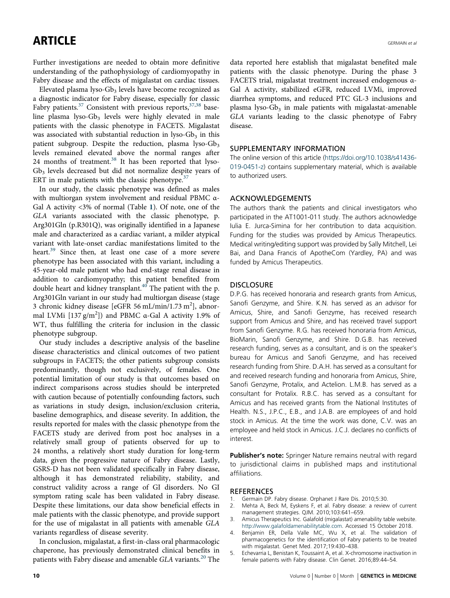<span id="page-9-0"></span>Further investigations are needed to obtain more definitive understanding of the pathophysiology of cardiomyopathy in Fabry disease and the effects of migalastat on cardiac tissues.

Elevated plasma lyso-Gb<sub>3</sub> levels have become recognized as a diagnostic indicator for Fabry disease, especially for classic Fabry patients.<sup>[37](#page-10-0)</sup> Consistent with previous reports,<sup>[37,38](#page-10-0)</sup> baseline plasma lyso-Gb<sub>3</sub> levels were highly elevated in male patients with the classic phenotype in FACETS. Migalastat was associated with substantial reduction in lyso- $Gb<sub>3</sub>$  in this patient subgroup. Despite the reduction, plasma lyso-Gb<sub>3</sub> levels remained elevated above the normal ranges after 24 months of treatment.<sup>38</sup> It has been reported that lyso-Gb3 levels decreased but did not normalize despite years of ERT in male patients with the classic phenotype. $37$ 

In our study, the classic phenotype was defined as males with multiorgan system involvement and residual PBMC α-Gal A activity <3% of normal (Table [1](#page-3-0)). Of note, one of the GLA variants associated with the classic phenotype, p. Arg301Gln (p.R301Q), was originally identified in a Japanese male and characterized as a cardiac variant, a milder atypical variant with late-onset cardiac manifestations limited to the heart.<sup>[39](#page-10-0)</sup> Since then, at least one case of a more severe phenotype has been associated with this variant, including a 45-year-old male patient who had end-stage renal disease in addition to cardiomyopathy; this patient benefited from double heart and kidney transplant. $40$  The patient with the p. Arg301Gln variant in our study had multiorgan disease (stage 3 chronic kidney disease [eGFR 56 mL/min/1.73 m<sup>2</sup>], abnormal LVMi  $[137 \text{ g/m}^2]$ ) and PBMC  $\alpha$ -Gal A activity 1.9% of WT, thus fulfilling the criteria for inclusion in the classic phenotype subgroup.

Our study includes a descriptive analysis of the baseline disease characteristics and clinical outcomes of two patient subgroups in FACETS; the other patients subgroup consists predominantly, though not exclusively, of females. One potential limitation of our study is that outcomes based on indirect comparisons across studies should be interpreted with caution because of potentially confounding factors, such as variations in study design, inclusion/exclusion criteria, baseline demographics, and disease severity. In addition, the results reported for males with the classic phenotype from the FACETS study are derived from post hoc analyses in a relatively small group of patients observed for up to 24 months, a relatively short study duration for long-term data, given the progressive nature of Fabry disease. Lastly, GSRS-D has not been validated specifically in Fabry disease, although it has demonstrated reliability, stability, and construct validity across a range of GI disorders. No GI symptom rating scale has been validated in Fabry disease. Despite these limitations, our data show beneficial effects in male patients with the classic phenotype, and provide support for the use of migalastat in all patients with amenable GLA variants regardless of disease severity.

In conclusion, migalastat, a first-in-class oral pharmacologic chaperone, has previously demonstrated clinical benefits in patients with Fabry disease and amenable GLA variants.<sup>[20](#page-10-0)</sup> The data reported here establish that migalastat benefited male patients with the classic phenotype. During the phase 3 FACETS trial, migalastat treatment increased endogenous α-Gal A activity, stabilized eGFR, reduced LVMi, improved diarrhea symptoms, and reduced PTC GL-3 inclusions and plasma lyso- $Gb_3$  in male patients with migalastat-amenable GLA variants leading to the classic phenotype of Fabry disease.

# SUPPLEMENTARY INFORMATION

The online version of this article [\(https://doi.org/10.1038/s41436-](https://doi.org/10.1038/s41436-019-0451-z) [019-0451-z\)](https://doi.org/10.1038/s41436-019-0451-z) contains supplementary material, which is available to authorized users.

### ACKNOWLEDGEMENTS

The authors thank the patients and clinical investigators who participated in the AT1001-011 study. The authors acknowledge Iulia E. Jurca-Simina for her contribution to data acquisition. Funding for the studies was provided by Amicus Therapeutics. Medical writing/editing support was provided by Sally Mitchell, Lei Bai, and Dana Francis of ApotheCom (Yardley, PA) and was funded by Amicus Therapeutics.

# **DISCLOSURE**

D.P.G. has received honoraria and research grants from Amicus, Sanofi Genzyme, and Shire. K.N. has served as an advisor for Amicus, Shire, and Sanofi Genzyme, has received research support from Amicus and Shire, and has received travel support from Sanofi Genzyme. R.G. has received honoraria from Amicus, BioMarin, Sanofi Genzyme, and Shire. D.G.B. has received research funding, serves as a consultant, and is on the speaker's bureau for Amicus and Sanofi Genzyme, and has received research funding from Shire. D.A.H. has served as a consultant for and received research funding and honoraria from Amicus, Shire, Sanofi Genzyme, Protalix, and Actelion. L.M.B. has served as a consultant for Protalix. R.B.C. has served as a consultant for Amicus and has received grants from the National Institutes of Health. N.S., J.P.C., E.B., and J.A.B. are employees of and hold stock in Amicus. At the time the work was done, C.V. was an employee and held stock in Amicus. J.C.J. declares no conflicts of interest.

**Publisher's note:** Springer Nature remains neutral with regard to jurisdictional claims in published maps and institutional affiliations.

### REFERENCES

- 1. Germain DP. Fabry disease. Orphanet J Rare Dis. 2010;5:30.<br>2. Mehta A, Beck M, Eyskens F, et al. Fabry disease: a reviev
- 2. Mehta A, Beck M, Eyskens F, et al. Fabry disease: a review of current management strategies. QJM. 2010;103:641–659.
- 3. Amicus Therapeutics Inc. Galafold (migalastat) amenability table website. [http://www.galafoldamenabilitytable.com.](http://www.galafoldamenabilitytable.com) Accessed 15 October 2018.
- 4. Benjamin ER, Della Valle MC, Wu X, et al. The validation of pharmacogenetics for the identification of Fabry patients to be treated with migalastat. Genet Med. 2017;19:430–438.
- 5. Echevarria L, Benistan K, Toussaint A, et al. X-chromosome inactivation in female patients with Fabry disease. Clin Genet. 2016;89:44–54.